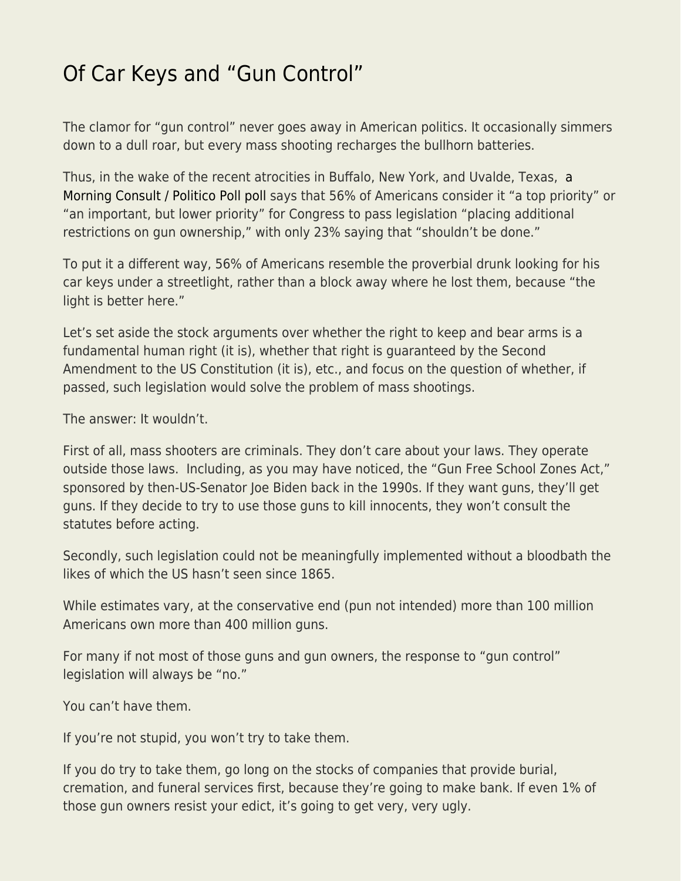## [Of Car Keys and "Gun Control"](https://everything-voluntary.com/of-car-keys-and-gun-control)

The clamor for "gun control" never goes away in American politics. It occasionally simmers down to a dull roar, but every mass shooting recharges the bullhorn batteries.

Thus, in the wake of the recent atrocities in Buffalo, New York, and Uvalde, Texas, [a](https://www.politico.com/f/?id=00000180-f931-de59-a7ec-f9357da90000&nname=playbook&nid=0000014f-1646-d88f-a1cf-5f46b7bd0000&nrid=0000014e-f115-dd93-ad7f-f91513e50001&nlid=630318) [Morning Consult / Politico Poll poll](https://www.politico.com/f/?id=00000180-f931-de59-a7ec-f9357da90000&nname=playbook&nid=0000014f-1646-d88f-a1cf-5f46b7bd0000&nrid=0000014e-f115-dd93-ad7f-f91513e50001&nlid=630318) says that 56% of Americans consider it "a top priority" or "an important, but lower priority" for Congress to pass legislation "placing additional restrictions on gun ownership," with only 23% saying that "shouldn't be done."

To put it a different way, 56% of Americans resemble the proverbial drunk looking for his car keys under a streetlight, rather than a block away where he lost them, because "the light is better here."

Let's set aside the stock arguments over whether the right to keep and bear arms is a fundamental human right (it is), whether that right is guaranteed by the Second Amendment to the US Constitution (it is), etc., and focus on the question of whether, if passed, such legislation would solve the problem of mass shootings.

The answer: It wouldn't.

First of all, mass shooters are criminals. They don't care about your laws. They operate outside those laws. Including, as you may have noticed, the "Gun Free School Zones Act," sponsored by then-US-Senator Joe Biden back in the 1990s. If they want guns, they'll get guns. If they decide to try to use those guns to kill innocents, they won't consult the statutes before acting.

Secondly, such legislation could not be meaningfully implemented without a bloodbath the likes of which the US hasn't seen since 1865.

While estimates vary, at the conservative end (pun not intended) more than 100 million Americans own more than 400 million guns.

For many if not most of those guns and gun owners, the response to "gun control" legislation will always be "no."

You can't have them.

If you're not stupid, you won't try to take them.

If you do try to take them, go long on the stocks of companies that provide burial, cremation, and funeral services first, because they're going to make bank. If even 1% of those gun owners resist your edict, it's going to get very, very ugly.